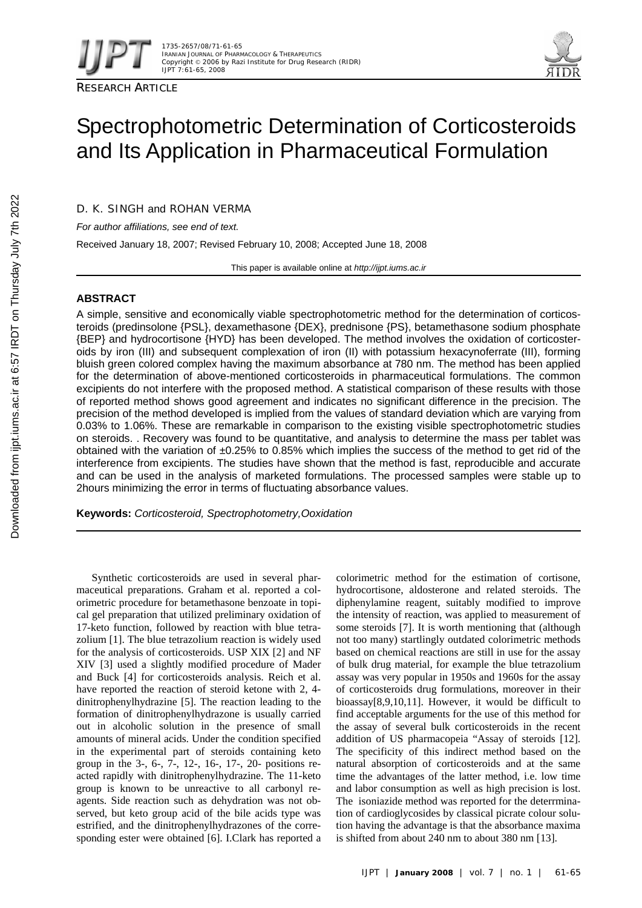



# Spectrophotometric Determination of Corticosteroids and Its Application in Pharmaceutical Formulation

D. K. SINGH and ROHAN VERMA

*For author affiliations, see end of text.* 

Received January 18, 2007; Revised February 10, 2008; Accepted June 18, 2008

This paper is available online at *http://ijpt.iums.ac.ir*

# **ABSTRACT**

A simple, sensitive and economically viable spectrophotometric method for the determination of corticosteroids (predinsolone {PSL}, dexamethasone {DEX}, prednisone {PS}, betamethasone sodium phosphate {BEP} and hydrocortisone {HYD} has been developed. The method involves the oxidation of corticosteroids by iron (III) and subsequent complexation of iron (II) with potassium hexacynoferrate (III), forming bluish green colored complex having the maximum absorbance at 780 nm. The method has been applied for the determination of above-mentioned corticosteroids in pharmaceutical formulations. The common excipients do not interfere with the proposed method. A statistical comparison of these results with those of reported method shows good agreement and indicates no significant difference in the precision. The precision of the method developed is implied from the values of standard deviation which are varying from 0.03% to 1.06%. These are remarkable in comparison to the existing visible spectrophotometric studies on steroids. . Recovery was found to be quantitative, and analysis to determine the mass per tablet was obtained with the variation of ±0.25% to 0.85% which implies the success of the method to get rid of the interference from excipients. The studies have shown that the method is fast, reproducible and accurate and can be used in the analysis of marketed formulations. The processed samples were stable up to 2hours minimizing the error in terms of fluctuating absorbance values.

**Keywords:** *Corticosteroid, Spectrophotometry,Ooxidation* 

Synthetic corticosteroids are used in several pharmaceutical preparations. Graham et al. reported a colorimetric procedure for betamethasone benzoate in topical gel preparation that utilized preliminary oxidation of 17-keto function, followed by reaction with blue tetrazolium [1]. The blue tetrazolium reaction is widely used for the analysis of corticosteroids. USP XIX [2] and NF XIV [3] used a slightly modified procedure of Mader and Buck [4] for corticosteroids analysis. Reich et al. have reported the reaction of steroid ketone with 2, 4 dinitrophenylhydrazine [5]. The reaction leading to the formation of dinitrophenylhydrazone is usually carried out in alcoholic solution in the presence of small amounts of mineral acids. Under the condition specified in the experimental part of steroids containing keto group in the 3-, 6-, 7-, 12-, 16-, 17-, 20- positions reacted rapidly with dinitrophenylhydrazine. The 11-keto group is known to be unreactive to all carbonyl reagents. Side reaction such as dehydration was not observed, but keto group acid of the bile acids type was estrified, and the dinitrophenylhydrazones of the corresponding ester were obtained [6]. I.Clark has reported a

colorimetric method for the estimation of cortisone, hydrocortisone, aldosterone and related steroids. The diphenylamine reagent, suitably modified to improve the intensity of reaction, was applied to measurement of some steroids [7]. It is worth mentioning that (although not too many) startlingly outdated colorimetric methods based on chemical reactions are still in use for the assay of bulk drug material, for example the blue tetrazolium assay was very popular in 1950s and 1960s for the assay of corticosteroids drug formulations, moreover in their bioassay $[8, 9, 10, 11]$ . However, it would be difficult to find acceptable arguments for the use of this method for the assay of several bulk corticosteroids in the recent addition of US pharmacopeia "Assay of steroids [12]. The specificity of this indirect method based on the natural absorption of corticosteroids and at the same time the advantages of the latter method, i.e. low time and labor consumption as well as high precision is lost. The isoniazide method was reported for the deterrmination of cardioglycosides by classical picrate colour solution having the advantage is that the absorbance maxima is shifted from about 240 nm to about 380 nm [ 13].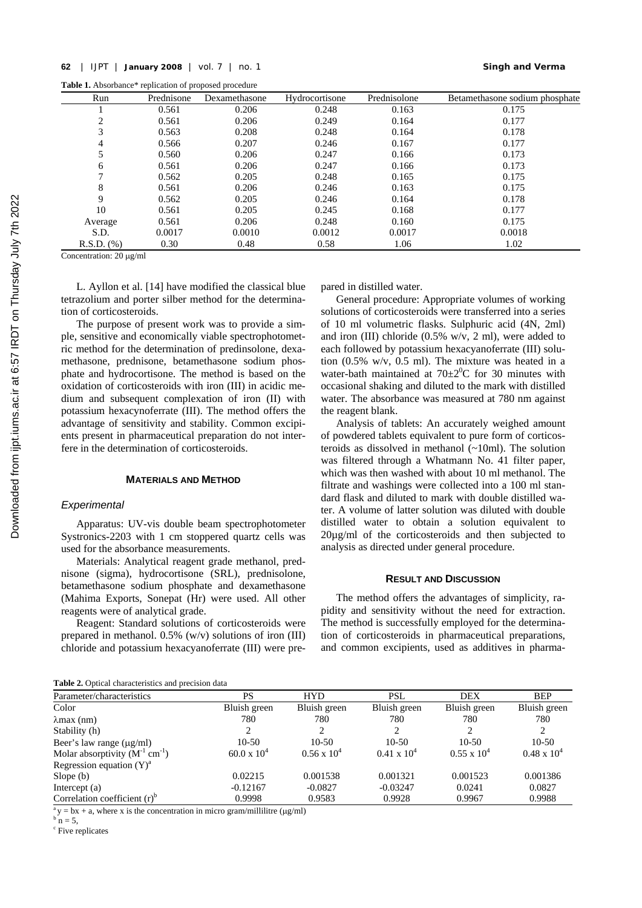Table 1. Absorbance\* replication of proposed procedure

| Run             | Prednisone | Dexamethasone | Hydrocortisone | Prednisolone | Betamethasone sodium phosphate |
|-----------------|------------|---------------|----------------|--------------|--------------------------------|
|                 | 0.561      | 0.206         | 0.248          | 0.163        | 0.175                          |
| 2               | 0.561      | 0.206         | 0.249          | 0.164        | 0.177                          |
| 3               | 0.563      | 0.208         | 0.248          | 0.164        | 0.178                          |
| 4               | 0.566      | 0.207         | 0.246          | 0.167        | 0.177                          |
| 5               | 0.560      | 0.206         | 0.247          | 0.166        | 0.173                          |
| 6               | 0.561      | 0.206         | 0.247          | 0.166        | 0.173                          |
|                 | 0.562      | 0.205         | 0.248          | 0.165        | 0.175                          |
| 8               | 0.561      | 0.206         | 0.246          | 0.163        | 0.175                          |
| 9               | 0.562      | 0.205         | 0.246          | 0.164        | 0.178                          |
| 10              | 0.561      | 0.205         | 0.245          | 0.168        | 0.177                          |
| Average         | 0.561      | 0.206         | 0.248          | 0.160        | 0.175                          |
| S.D.            | 0.0017     | 0.0010        | 0.0012         | 0.0017       | 0.0018                         |
| $R.S.D.$ $(\%)$ | 0.30       | 0.48          | 0.58           | 1.06         | 1.02                           |

Concentration: 20 μg/ml

L. Ayllon et al. [ 14] have modified the classical blue tetrazolium and porter silber method for the determination of corticosteroids.

The purpose of present work was to provide a simple, sensitive and economically viable spectrophotometric method for the determination of predinsolone, dexamethasone, prednisone, betamethasone sodium phosphate and hydrocortisone. The method is based on the oxidation of corticosteroids with iron (III) in acidic medium and subsequent complexation of iron (II) with potassium hexacynoferrate (III). The method offers the advantage of sensitivity and stability. Common excipients present in pharmaceutical preparation do not interfere in the determination of corticosteroids.

# **MATERIALS AND METHOD**

#### *Experimental*

Apparatus: UV-vis double beam spectrophotometer Systronics-2203 with 1 cm stoppered quartz cells was used for the absorbance measurements.

Materials: Analytical reagent grade methanol, prednisone (sigma), hydrocortisone (SRL), prednisolone, betamethasone sodium phosphate and dexamethasone (Mahima Exports, Sonepat (Hr) were used. All other reagents were of analytical grade.

Reagent: Standard solutions of corticosteroids were prepared in methanol. 0.5% (w/v) solutions of iron (III) chloride and potassium hexacyanoferrate (III) were prepared in distilled water.

General procedure: Appropriate volumes of working solutions of corticosteroids were transferred into a series of 10 ml volumetric flasks. Sulphuric acid (4N, 2ml) and iron (III) chloride  $(0.5\% \text{ w/v}, 2 \text{ ml})$ , were added to each followed by potassium hexacyanoferrate (III) solution  $(0.5\% \text{ w/v}, 0.5 \text{ ml})$ . The mixture was heated in a water-bath maintained at  $70\pm2\degree C$  for 30 minutes with occasional shaking and diluted to the mark with distilled water. The absorbance was measured at 780 nm against the reagent blank.

Analysis of tablets: An accurately weighed amount of powdered tablets equivalent to pure form of corticosteroids as dissolved in methanol (~10ml). The solution was filtered through a Whatmann No. 41 filter paper, which was then washed with about 10 ml methanol. The filtrate and washings were collected into a 100 ml standard flask and diluted to mark with double distilled water. A volume of latter solution was diluted with double distilled water to obtain a solution equivalent to 20µg/ml of the corticosteroids and then subjected to analysis as directed under general procedure.

#### **RESULT AND DISCUSSION**

The method offers the advantages of simplicity, rapidity and sensitivity without the need for extraction. The method is successfully employed for the determination of corticosteroids in pharmaceutical preparations, and common excipients, used as additives in pharma-

| <b>Table 2.</b> Optical characteristics and precision data |  |
|------------------------------------------------------------|--|
|------------------------------------------------------------|--|

| <b>Tuble 20</b> Option characteristics and precision data |                      |                      |                      |                      |                      |  |
|-----------------------------------------------------------|----------------------|----------------------|----------------------|----------------------|----------------------|--|
| Parameter/characteristics                                 | PS                   | <b>HYD</b>           | <b>PSL</b>           | <b>DEX</b>           | <b>BEP</b>           |  |
| Color                                                     | Bluish green         | Bluish green         | Bluish green         | Bluish green         | Bluish green         |  |
| $\lambda$ max (nm)                                        | 780                  | 780                  | 780                  | 780                  | 780                  |  |
| Stability (h)                                             |                      |                      |                      |                      |                      |  |
| Beer's law range $(\mu g/ml)$                             | $10-50$              | $10-50$              | $10-50$              | $10-50$              | $10-50$              |  |
| Molar absorptivity $(M^{-1} cm^{-1})$                     | $60.0 \times 10^{4}$ | $0.56 \times 10^{4}$ | $0.41 \times 10^{4}$ | $0.55 \times 10^{4}$ | $0.48 \times 10^{4}$ |  |
| Regression equation $(Y)^a$                               |                      |                      |                      |                      |                      |  |
| Slope $(b)$                                               | 0.02215              | 0.001538             | 0.001321             | 0.001523             | 0.001386             |  |
| Intercept $(a)$                                           | $-0.12167$           | $-0.0827$            | $-0.03247$           | 0.0241               | 0.0827               |  |
| Correlation coefficient $(r)^b$                           | 0.9998               | 0.9583               | 0.9928               | 0.9967               | 0.9988               |  |

 $\alpha$ <sup>a</sup>y = bx + a, where x is the concentration in micro gram/millilitre (μg/ml)

 $n = 5$ .

c Five replicates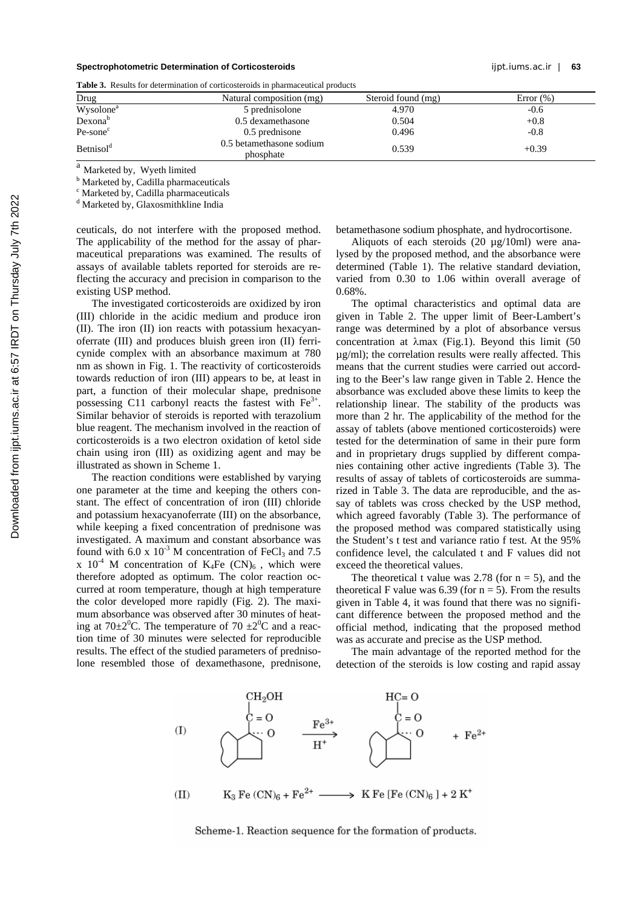### **Spectrophotometric Determination of Corticosteroids** ijpt.iums.ac.ir | **63**

**Table 3.** Results for determination of corticosteroids in pharmaceutical products

| Drug                  | Natural composition (mg)              | Steroid found (mg) | Error $(\%)$ |
|-----------------------|---------------------------------------|--------------------|--------------|
| Wysolone <sup>a</sup> | 5 prednisolone                        | 4.970              | $-0.6$       |
| Dexonab               | 0.5 dexamethasone                     | 0.504              | $+0.8$       |
| $Pe$ -sone $c$        | 0.5 prednisone                        | 0.496              | $-0.8$       |
| Betnisol <sup>d</sup> | 0.5 betamethasone sodium<br>phosphate | 0.539              | $+0.39$      |
| $\sim$                |                                       |                    |              |

<sup>a</sup> Marketed by, Wyeth limited

<sup>b</sup> Marketed by, Cadilla pharmaceuticals

c Marketed by, Cadilla pharmaceuticals

d Marketed by, Glaxosmithkline India

ceuticals, do not interfere with the proposed method. The applicability of the method for the assay of pharmaceutical preparations was examined. The results of assays of available tablets reported for steroids are reflecting the accuracy and precision in comparison to the existing USP method.

The investigated corticosteroids are oxidized by iron (III) chloride in the acidic medium and produce iron (II). The iron (II) ion reacts with potassium hexacyanoferrate (III) and produces bluish green iron (II) ferricynide complex with an absorbance maximum at 780 nm as shown in Fig. 1. The reactivity of corticosteroids towards reduction of iron (III) appears to be, at least in part, a function of their molecular shape, prednisone possessing C11 carbonyl reacts the fastest with  $Fe<sup>3+</sup>$ . Similar behavior of steroids is reported with terazolium blue reagent. The mechanism involved in the reaction of corticosteroids is a two electron oxidation of ketol side chain using iron (III) as oxidizing agent and may be illustrated as shown in Scheme 1.

The reaction conditions were established by varying one parameter at the time and keeping the others constant. The effect of concentration of iron (III) chloride and potassium hexacyanoferrate (III) on the absorbance, while keeping a fixed concentration of prednisone was investigated. A maximum and constant absorbance was found with 6.0 x  $10^{-3}$  M concentration of FeCl<sub>3</sub> and 7.5 x  $10^{-4}$  M concentration of K<sub>4</sub>Fe (CN)<sub>6</sub>, which were therefore adopted as optimum. The color reaction occurred at room temperature, though at high temperature the color developed more rapidly (Fig. 2). The maximum absorbance was observed after 30 minutes of heating at 70 $\pm 2^{0}$ C. The temperature of 70  $\pm 2^{0}$ C and a reaction time of 30 minutes were selected for reproducible results. The effect of the studied parameters of prednisolone resembled those of dexamethasone, prednisone, betamethasone sodium phosphate, and hydrocortisone.

Aliquots of each steroids (20 µg/10ml) were analysed by the proposed method, and the absorbance were determined (Table 1). The relative standard deviation, varied from 0.30 to 1.06 within overall average of 0.68%.

The optimal characteristics and optimal data are given in Table 2. The upper limit of Beer-Lambert's range was determined by a plot of absorbance versus concentration at λmax (Fig.1). Beyond this limit (50 µg/ml); the correlation results were really affected. This means that the current studies were carried out according to the Beer's law range given in Table 2. Hence the absorbance was excluded above these limits to keep the relationship linear. The stability of the products was more than 2 hr. The applicability of the method for the assay of tablets (above mentioned corticosteroids) were tested for the determination of same in their pure form and in proprietary drugs supplied by different companies containing other active ingredients (Table 3). The results of assay of tablets of corticosteroids are summarized in Table 3. The data are reproducible, and the assay of tablets was cross checked by the USP method, which agreed favorably (Table 3). The performance of the proposed method was compared statistically using the Student's t test and variance ratio f test. At the 95% confidence level, the calculated t and F values did not exceed the theoretical values.

The theoretical t value was 2.78 (for  $n = 5$ ), and the theoretical F value was 6.39 (for  $n = 5$ ). From the results given in Table 4, it was found that there was no significant difference between the proposed method and the official method, indicating that the proposed method was as accurate and precise as the USP method.

The main advantage of the reported method for the detection of the steroids is low costing and rapid assay



Scheme-1. Reaction sequence for the formation of products.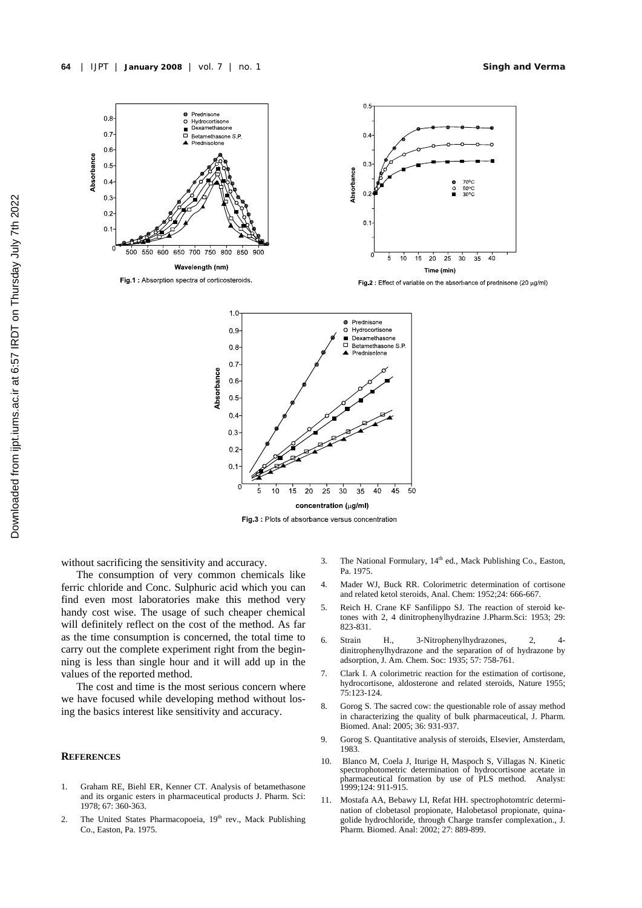

ø

concentration (µg/ml) Fig.3: Plots of absorbance versus concentration

 $15$  $20$  $2<sub>5</sub>$  $30$  $3<sub>5</sub>$  $4<sub>0</sub>$  $\overline{45}$  $50$ 

without sacrificing the sensitivity and accuracy.

The consumption of very common chemicals like ferric chloride and Conc. Sulphuric acid which you can find even most laboratories make this method very handy cost wise. The usage of such cheaper chemical will definitely reflect on the cost of the method. As far as the time consumption is concerned, the total time to carry out the complete experiment right from the beginning is less than single hour and it will add up in the values of the reported method.

 $0.2$ 

 $0.1$ 

5

 $10$ 

The cost and time is the most serious concern where we have focused while developing method without losing the basics interest like sensitivity and accuracy.

## **REFERENCES**

- 1. Graham RE, Biehl ER, Kenner CT. Analysis of betamethasone and its organic esters in pharmaceutical products J. Pharm. Sci: 1978; 67: 360-363.
- 2. The United States Pharmacopoeia, 19<sup>th</sup> rev., Mack Publishing Co., Easton, Pa. 1975.
- 3. The National Formulary, 14<sup>th</sup> ed., Mack Publishing Co., Easton, Pa. 1975.
- 4. Mader WJ, Buck RR. Colorimetric determination of cortisone and related ketol steroids, Anal. Chem: 1952;24: 666-667.
- 5. Reich H. Crane KF Sanfilippo SJ. The reaction of steroid ketones with 2, 4 dinitrophenylhydrazine J.Pharm.Sci: 1953; 29: 823-831.
- 6. Strain H., 3-Nitrophenylhydrazones, 2, 4 dinitrophenylhydrazone and the separation of of hydrazone by adsorption, J. Am. Chem. Soc: 1935; 57: 758-761.
- 7. Clark I. A colorimetric reaction for the estimation of cortisone, hydrocortisone, aldosterone and related steroids, Nature 1955; 75:123-124.
- 8. Gorog S. The sacred cow: the questionable role of assay method in characterizing the quality of bulk pharmaceutical, J. Pharm. Biomed. Anal: 2005; 36: 931-937.
- 9. Gorog S. Quantitative analysis of steroids, Elsevier, Amsterdam, 1983.
- 10. Blanco M, Coela J, Iturige H, Maspoch S, Villagas N. Kinetic spectrophotometric determination of hydrocortisone acetate in pharmaceutical formation by use of PLS method. Analyst: 1999;124: 911-915.
- 11. Mostafa AA, Bebawy LI, Refat HH. spectrophotomtric determination of clobetasol propionate, Halobetasol propionate, quinagolide hydrochloride, through Charge transfer complexation., J. Pharm. Biomed. Anal: 2002; 27: 889-899.